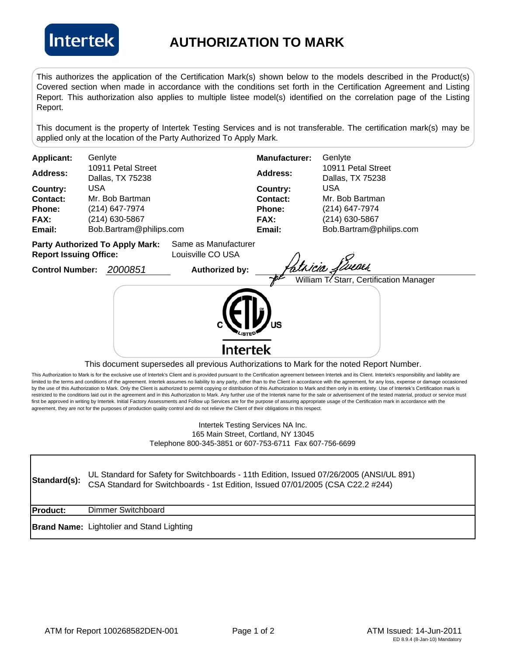

## **AUTHORIZATION TO MARK**

This authorizes the application of the Certification Mark(s) shown below to the models described in the Product(s) Covered section when made in accordance with the conditions set forth in the Certification Agreement and Listing Report. This authorization also applies to multiple listee model(s) identified on the correlation page of the Listing Report.

This document is the property of Intertek Testing Services and is not transferable. The certification mark(s) may be applied only at the location of the Party Authorized To Apply Mark.

| William T. Starr, Certification Manager<br>This document supersedes all previous Authorizations to Mark for the noted Report Number. |
|--------------------------------------------------------------------------------------------------------------------------------------|
| Bob.Bartram@philips.com                                                                                                              |

This Authorization to Mark is for the exclusive use of Intertek's Client and is provided pursuant to the Certification agreement between Intertek and its Client. Intertek's responsibility and liability are limited to the terms and conditions of the agreement. Intertek assumes no liability to any party, other than to the Client in accordance with the agreement, for any loss, expense or damage occasioned by the use of this Authorization to Mark. Only the Client is authorized to permit copying or distribution of this Authorization to Mark and then only in its entirety. Use of Intertek's Certification mark is restricted to the conditions laid out in the agreement and in this Authorization to Mark. Any further use of the Intertek name for the sale or advertisement of the tested material, product or service must

first be approved in writing by Intertek. Initial Factory Assessments and Follow up Services are for the purpose of assuring appropriate usage of the Certification mark in accordance with the

agreement, they are not for the purposes of production quality control and do not relieve the Client of their obligations in this respect.

## Intertek Testing Services NA Inc. 165 Main Street, Cortland, NY 13045 Telephone 800-345-3851 or 607-753-6711 Fax 607-756-6699

| Standard(s):    | UL Standard for Safety for Switchboards - 11th Edition, Issued 07/26/2005 (ANSI/UL 891)<br>CSA Standard for Switchboards - 1st Edition, Issued 07/01/2005 (CSA C22.2 #244) |
|-----------------|----------------------------------------------------------------------------------------------------------------------------------------------------------------------------|
| <b>Product:</b> | Dimmer Switchboard                                                                                                                                                         |
|                 | <b>Brand Name: Lightolier and Stand Lighting</b>                                                                                                                           |